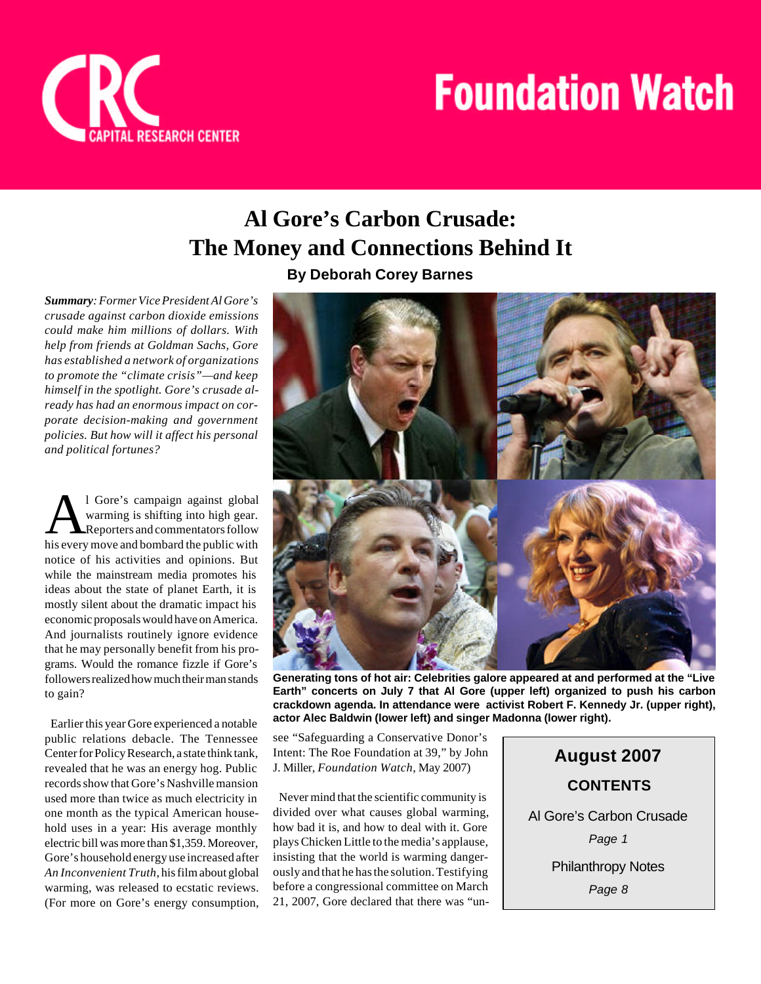

# **Al Gore's Carbon Crusade: The Money and Connections Behind It By Deborah Corey Barnes**

*Summary: Former Vice President Al Gore's crusade against carbon dioxide emissions could make him millions of dollars. With help from friends at Goldman Sachs, Gore has established a network of organizations to promote the "climate crisis"—and keep himself in the spotlight. Gore's crusade already has had an enormous impact on corporate decision-making and government policies. But how will it affect his personal and political fortunes?*

A <sup>1</sup> Gore's campaign against global<br>warming is shifting into high gear.<br>Reporters and commentators follow<br>his every move and bombard the public with l Gore's campaign against global warming is shifting into high gear. Reporters and commentators follow notice of his activities and opinions. But while the mainstream media promotes his ideas about the state of planet Earth, it is mostly silent about the dramatic impact his economic proposals would have on America. And journalists routinely ignore evidence that he may personally benefit from his programs. Would the romance fizzle if Gore's followers realized how much their man stands to gain?

 Earlier this year Gore experienced a notable public relations debacle. The Tennessee Center for Policy Research, a state think tank, revealed that he was an energy hog. Public records show that Gore's Nashville mansion used more than twice as much electricity in one month as the typical American household uses in a year: His average monthly electric bill was more than \$1,359. Moreover, Gore's household energy use increased after *An Inconvenient Truth*, his film about global warming, was released to ecstatic reviews. (For more on Gore's energy consumption,



**Generating tons of hot air: Celebrities galore appeared at and performed at the "Live Earth" concerts on July 7 that Al Gore (upper left) organized to push his carbon crackdown agenda. In attendance were activist Robert F. Kennedy Jr. (upper right), actor Alec Baldwin (lower left) and singer Madonna (lower right).**

see "Safeguarding a Conservative Donor's Intent: The Roe Foundation at 39," by John J. Miller, *Foundation Watch*, May 2007)

 Never mind that the scientific community is divided over what causes global warming, how bad it is, and how to deal with it. Gore plays Chicken Little to the media's applause, insisting that the world is warming dangerously and that he has the solution. Testifying before a congressional committee on March 21, 2007, Gore declared that there was "un-

**August 2007** Al Gore's Carbon Crusade *Page 1* Philanthropy Notes *Page 8* **CONTENTS**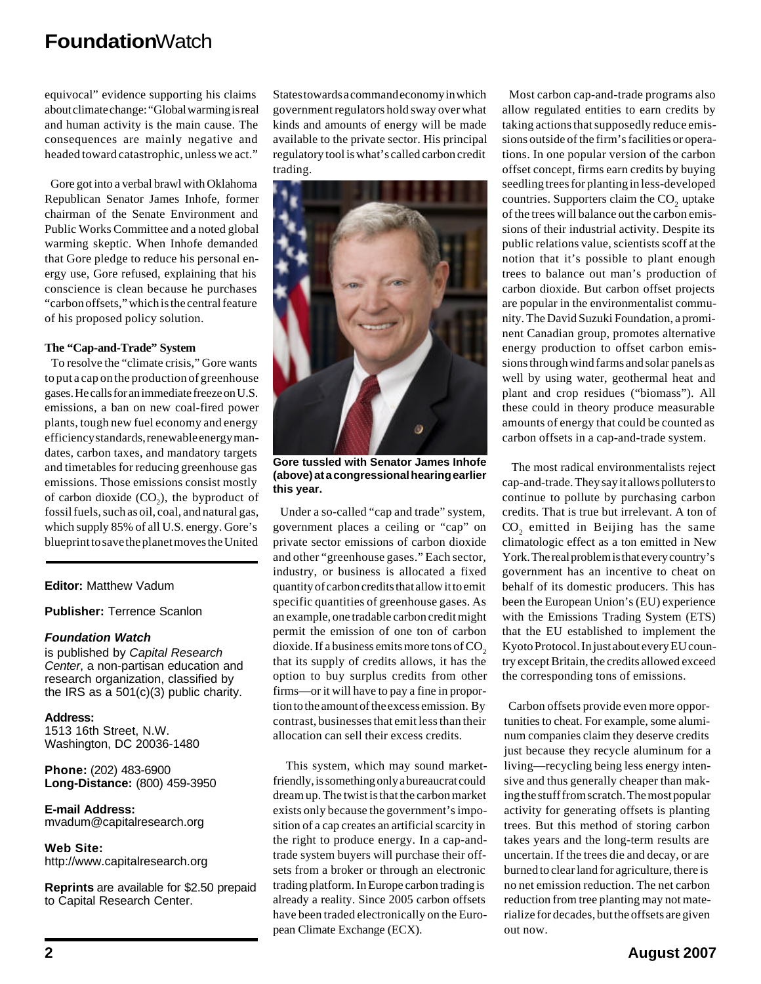equivocal" evidence supporting his claims about climate change: "Global warming is real and human activity is the main cause. The consequences are mainly negative and headed toward catastrophic, unless we act."

 Gore got into a verbal brawl with Oklahoma Republican Senator James Inhofe, former chairman of the Senate Environment and Public Works Committee and a noted global warming skeptic. When Inhofe demanded that Gore pledge to reduce his personal energy use, Gore refused, explaining that his conscience is clean because he purchases "carbon offsets," which is the central feature of his proposed policy solution.

#### **The "Cap-and-Trade" System**

 To resolve the "climate crisis," Gore wants to put a cap on the production of greenhouse gases. He calls for an immediate freeze on U.S. emissions, a ban on new coal-fired power plants, tough new fuel economy and energy efficiency standards, renewable energy mandates, carbon taxes, and mandatory targets and timetables for reducing greenhouse gas emissions. Those emissions consist mostly of carbon dioxide  $(CO_2)$ , the byproduct of fossil fuels, such as oil, coal, and natural gas, which supply 85% of all U.S. energy. Gore's blueprint to save the planet moves the United

**Editor:** Matthew Vadum

**Publisher:** Terrence Scanlon

#### *Foundation Watch*

is published by *Capital Research Center*, a non-partisan education and research organization, classified by the IRS as a 501(c)(3) public charity.

**Address:** 1513 16th Street, N.W. Washington, DC 20036-1480

**Phone:** (202) 483-6900 **Long-Distance:** (800) 459-3950

**E-mail Address:** mvadum@capitalresearch.org

**Web Site:** http://www.capitalresearch.org

**Reprints** are available for \$2.50 prepaid to Capital Research Center.

States towards a command economy in which government regulators hold sway over what kinds and amounts of energy will be made available to the private sector. His principal regulatory tool is what's called carbon credit trading.



**Gore tussled with Senator James Inhofe (above) at a congressional hearing earlier this year.**

 Under a so-called "cap and trade" system, government places a ceiling or "cap" on private sector emissions of carbon dioxide and other "greenhouse gases." Each sector, industry, or business is allocated a fixed quantity of carbon credits that allow it to emit specific quantities of greenhouse gases. As an example, one tradable carbon credit might permit the emission of one ton of carbon dioxide. If a business emits more tons of  $CO<sub>2</sub>$ that its supply of credits allows, it has the option to buy surplus credits from other firms—or it will have to pay a fine in proportion to the amount of the excess emission. By contrast, businesses that emit less than their allocation can sell their excess credits.

 This system, which may sound marketfriendly, is something only a bureaucrat could dream up. The twist is that the carbon market exists only because the government's imposition of a cap creates an artificial scarcity in the right to produce energy. In a cap-andtrade system buyers will purchase their offsets from a broker or through an electronic trading platform. In Europe carbon trading is already a reality. Since 2005 carbon offsets have been traded electronically on the European Climate Exchange (ECX).

 Most carbon cap-and-trade programs also allow regulated entities to earn credits by taking actions that supposedly reduce emissions outside of the firm's facilities or operations. In one popular version of the carbon offset concept, firms earn credits by buying seedling trees for planting in less-developed countries. Supporters claim the  $\mathrm{CO}_2^+$  uptake of the trees will balance out the carbon emissions of their industrial activity. Despite its public relations value, scientists scoff at the notion that it's possible to plant enough trees to balance out man's production of carbon dioxide. But carbon offset projects are popular in the environmentalist community. The David Suzuki Foundation, a prominent Canadian group, promotes alternative energy production to offset carbon emissions through wind farms and solar panels as well by using water, geothermal heat and plant and crop residues ("biomass"). All these could in theory produce measurable amounts of energy that could be counted as carbon offsets in a cap-and-trade system.

 The most radical environmentalists reject cap-and-trade. They say it allows polluters to continue to pollute by purchasing carbon credits. That is true but irrelevant. A ton of  $CO<sub>2</sub>$  emitted in Beijing has the same climatologic effect as a ton emitted in New York. The real problem is that every country's government has an incentive to cheat on behalf of its domestic producers. This has been the European Union's (EU) experience with the Emissions Trading System (ETS) that the EU established to implement the Kyoto Protocol. In just about every EU country except Britain, the credits allowed exceed the corresponding tons of emissions.

 Carbon offsets provide even more opportunities to cheat. For example, some aluminum companies claim they deserve credits just because they recycle aluminum for a living—recycling being less energy intensive and thus generally cheaper than making the stuff from scratch. The most popular activity for generating offsets is planting trees. But this method of storing carbon takes years and the long-term results are uncertain. If the trees die and decay, or are burned to clear land for agriculture, there is no net emission reduction. The net carbon reduction from tree planting may not materialize for decades, but the offsets are given out now.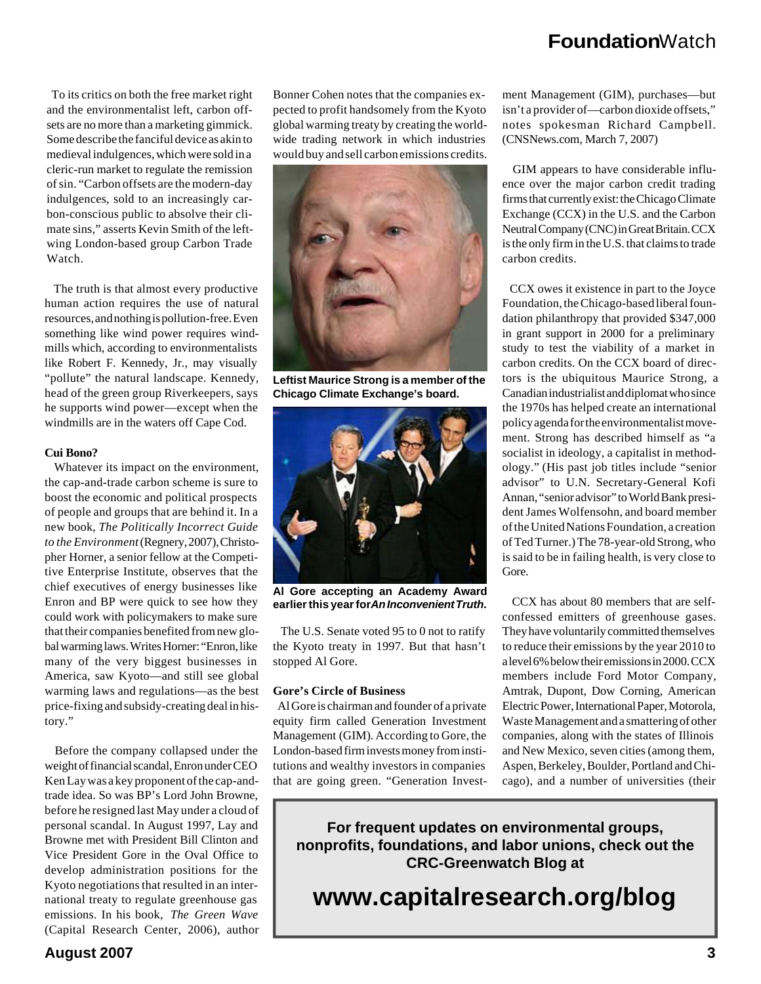To its critics on both the free market right and the environmentalist left, carbon offsets are no more than a marketing gimmick. Some describe the fanciful device as akin to medieval indulgences, which were sold in a cleric-run market to regulate the remission of sin. "Carbon offsets are the modern-day indulgences, sold to an increasingly carbon-conscious public to absolve their climate sins," asserts Kevin Smith of the leftwing London-based group Carbon Trade Watch.

 The truth is that almost every productive human action requires the use of natural resources, and nothing is pollution-free. Even something like wind power requires windmills which, according to environmentalists like Robert F. Kennedy, Jr., may visually "pollute" the natural landscape. Kennedy, head of the green group Riverkeepers, says he supports wind power—except when the windmills are in the waters off Cape Cod.

#### **Cui Bono?**

 Whatever its impact on the environment, the cap-and-trade carbon scheme is sure to boost the economic and political prospects of people and groups that are behind it. In a new book, *The Politically Incorrect Guide to the Environment* (Regnery, 2007), Christopher Horner, a senior fellow at the Competitive Enterprise Institute, observes that the chief executives of energy businesses like Enron and BP were quick to see how they could work with policymakers to make sure that their companies benefited from new global warming laws. Writes Horner: "Enron, like many of the very biggest businesses in America, saw Kyoto—and still see global warming laws and regulations—as the best price-fixing and subsidy-creating deal in history."

 Before the company collapsed under the weight of financial scandal, Enron under CEO Ken Lay was a key proponent of the cap-andtrade idea. So was BP's Lord John Browne, before he resigned last May under a cloud of personal scandal. In August 1997, Lay and Browne met with President Bill Clinton and Vice President Gore in the Oval Office to develop administration positions for the Kyoto negotiations that resulted in an international treaty to regulate greenhouse gas emissions. In his book, *The Green Wave* (Capital Research Center, 2006), author

Bonner Cohen notes that the companies expected to profit handsomely from the Kyoto global warming treaty by creating the worldwide trading network in which industries would buy and sell carbon emissions credits.



**Leftist Maurice Strong is a member of the Chicago Climate Exchange's board.**



**Al Gore accepting an Academy Award earlier this year for** *An Inconvenient Truth***.**

 The U.S. Senate voted 95 to 0 not to ratify the Kyoto treaty in 1997. But that hasn't stopped Al Gore.

#### **Gore's Circle of Business**

 Al Gore is chairman and founder of a private equity firm called Generation Investment Management (GIM). According to Gore, the London-based firm invests money from institutions and wealthy investors in companies that are going green. "Generation Investment Management (GIM), purchases—but isn't a provider of—carbon dioxide offsets," notes spokesman Richard Campbell. (CNSNews.com, March 7, 2007)

 GIM appears to have considerable influence over the major carbon credit trading firms that currently exist: the Chicago Climate Exchange (CCX) in the U.S. and the Carbon Neutral Company (CNC) in Great Britain. CCX is the only firm in the U.S. that claims to trade carbon credits.

 CCX owes it existence in part to the Joyce Foundation, the Chicago-based liberal foundation philanthropy that provided \$347,000 in grant support in 2000 for a preliminary study to test the viability of a market in carbon credits. On the CCX board of directors is the ubiquitous Maurice Strong, a Canadian industrialist and diplomat who since the 1970s has helped create an international policy agenda for the environmentalist movement. Strong has described himself as "a socialist in ideology, a capitalist in methodology." (His past job titles include "senior advisor" to U.N. Secretary-General Kofi Annan, "senior advisor" to World Bank president James Wolfensohn, and board member of the United Nations Foundation, a creation of Ted Turner.) The 78-year-old Strong, who is said to be in failing health, is very close to Gore.

 CCX has about 80 members that are selfconfessed emitters of greenhouse gases. They have voluntarily committed themselves to reduce their emissions by the year 2010 to a level 6% below their emissions in 2000. CCX members include Ford Motor Company, Amtrak, Dupont, Dow Corning, American Electric Power, International Paper, Motorola, Waste Management and a smattering of other companies, along with the states of Illinois and New Mexico, seven cities (among them, Aspen, Berkeley, Boulder, Portland and Chicago), and a number of universities (their

**For frequent updates on environmental groups, nonprofits, foundations, and labor unions, check out the CRC-Greenwatch Blog at**

# **www.capitalresearch.org/blog**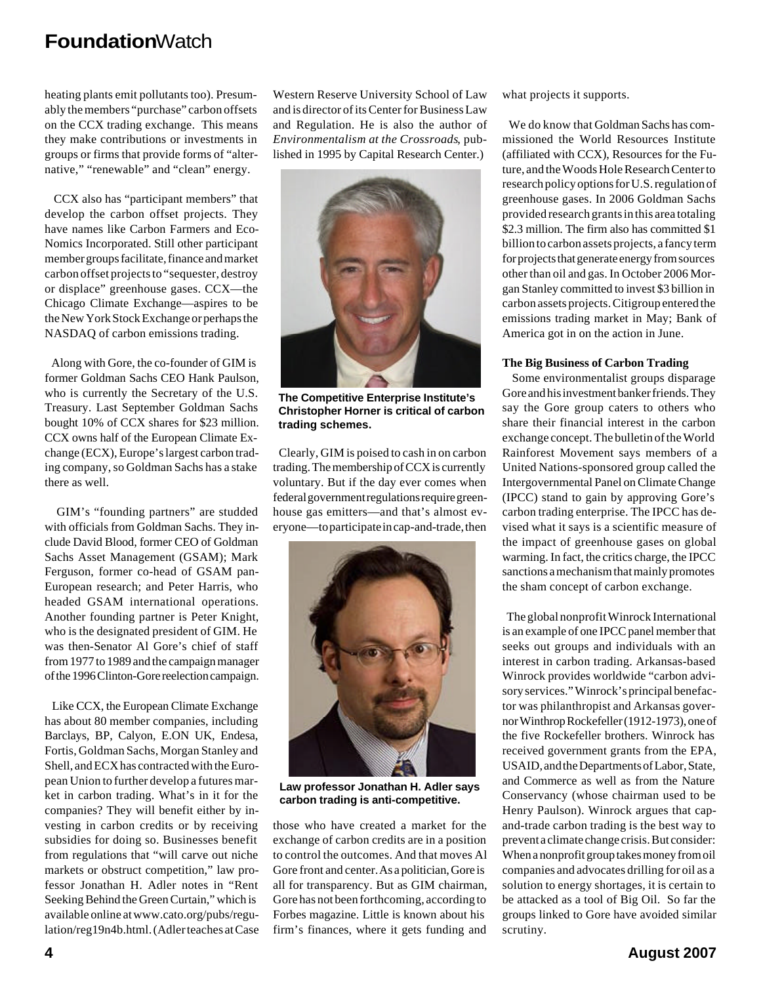heating plants emit pollutants too). Presumably the members "purchase" carbon offsets on the CCX trading exchange. This means they make contributions or investments in groups or firms that provide forms of "alternative," "renewable" and "clean" energy.

 CCX also has "participant members" that develop the carbon offset projects. They have names like Carbon Farmers and Eco-Nomics Incorporated. Still other participant member groups facilitate, finance and market carbon offset projects to "sequester, destroy or displace" greenhouse gases. CCX—the Chicago Climate Exchange—aspires to be the New York Stock Exchange or perhaps the NASDAQ of carbon emissions trading.

 Along with Gore, the co-founder of GIM is former Goldman Sachs CEO Hank Paulson, who is currently the Secretary of the U.S. Treasury. Last September Goldman Sachs bought 10% of CCX shares for \$23 million. CCX owns half of the European Climate Exchange (ECX), Europe's largest carbon trading company, so Goldman Sachs has a stake there as well.

 GIM's "founding partners" are studded with officials from Goldman Sachs. They include David Blood, former CEO of Goldman Sachs Asset Management (GSAM); Mark Ferguson, former co-head of GSAM pan-European research; and Peter Harris, who headed GSAM international operations. Another founding partner is Peter Knight, who is the designated president of GIM. He was then-Senator Al Gore's chief of staff from 1977 to 1989 and the campaign manager of the 1996 Clinton-Gore reelection campaign.

 Like CCX, the European Climate Exchange has about 80 member companies, including Barclays, BP, Calyon, E.ON UK, Endesa, Fortis, Goldman Sachs, Morgan Stanley and Shell, and ECX has contracted with the European Union to further develop a futures market in carbon trading. What's in it for the companies? They will benefit either by investing in carbon credits or by receiving subsidies for doing so. Businesses benefit from regulations that "will carve out niche markets or obstruct competition," law professor Jonathan H. Adler notes in "Rent Seeking Behind the Green Curtain," which is available online at www.cato.org/pubs/regulation/reg19n4b.html. (Adler teaches at Case

Western Reserve University School of Law and is director of its Center for Business Law and Regulation. He is also the author of *Environmentalism at the Crossroads*, published in 1995 by Capital Research Center.)



**The Competitive Enterprise Institute's Christopher Horner is critical of carbon trading schemes.**

 Clearly, GIM is poised to cash in on carbon trading. The membership of CCX is currently voluntary. But if the day ever comes when federal government regulations require greenhouse gas emitters—and that's almost everyone—to participate in cap-and-trade, then



**Law professor Jonathan H. Adler says carbon trading is anti-competitive.**

those who have created a market for the exchange of carbon credits are in a position to control the outcomes. And that moves Al Gore front and center.As a politician, Gore is all for transparency. But as GIM chairman, Gore has not been forthcoming, according to Forbes magazine. Little is known about his firm's finances, where it gets funding and

what projects it supports.

 We do know that Goldman Sachs has commissioned the World Resources Institute (affiliated with CCX), Resources for the Future, and the Woods Hole Research Center to research policy options for U.S. regulation of greenhouse gases. In 2006 Goldman Sachs provided research grants in this area totaling \$2.3 million. The firm also has committed \$1 billion to carbon assets projects, a fancy term for projects that generate energy from sources other than oil and gas. In October 2006 Morgan Stanley committed to invest \$3 billion in carbon assets projects. Citigroup entered the emissions trading market in May; Bank of America got in on the action in June.

#### **The Big Business of Carbon Trading**

 Some environmentalist groups disparage Gore and his investment banker friends. They say the Gore group caters to others who share their financial interest in the carbon exchange concept. The bulletin of the World Rainforest Movement says members of a United Nations-sponsored group called the Intergovernmental Panel on Climate Change (IPCC) stand to gain by approving Gore's carbon trading enterprise. The IPCC has devised what it says is a scientific measure of the impact of greenhouse gases on global warming. In fact, the critics charge, the IPCC sanctions a mechanism that mainly promotes the sham concept of carbon exchange.

 The global nonprofit Winrock International is an example of one IPCC panel member that seeks out groups and individuals with an interest in carbon trading. Arkansas-based Winrock provides worldwide "carbon advisory services." Winrock's principal benefactor was philanthropist and Arkansas governor Winthrop Rockefeller (1912-1973), one of the five Rockefeller brothers. Winrock has received government grants from the EPA, USAID, and the Departments of Labor, State, and Commerce as well as from the Nature Conservancy (whose chairman used to be Henry Paulson). Winrock argues that capand-trade carbon trading is the best way to prevent a climate change crisis. But consider: When a nonprofit group takes money from oil companies and advocates drilling for oil as a solution to energy shortages, it is certain to be attacked as a tool of Big Oil. So far the groups linked to Gore have avoided similar scrutiny.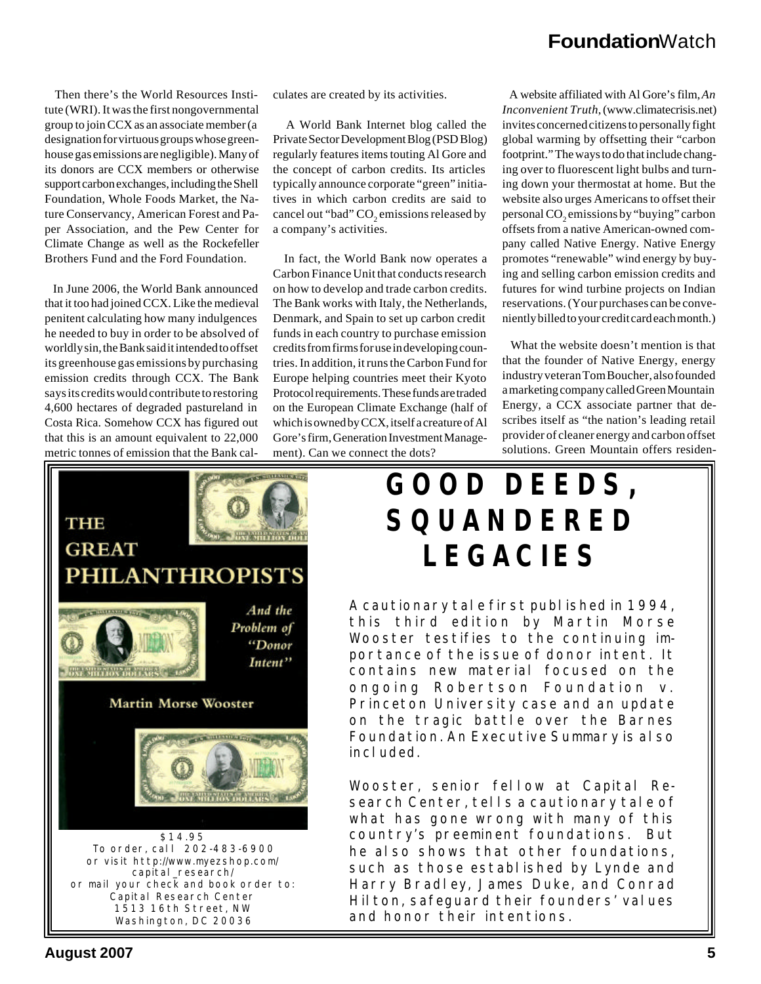Then there's the World Resources Institute (WRI). It was the first nongovernmental group to join CCX as an associate member (a designation for virtuous groups whose greenhouse gas emissions are negligible). Many of its donors are CCX members or otherwise support carbon exchanges, including the Shell Foundation, Whole Foods Market, the Nature Conservancy, American Forest and Paper Association, and the Pew Center for Climate Change as well as the Rockefeller Brothers Fund and the Ford Foundation.

 In June 2006, the World Bank announced that it too had joined CCX. Like the medieval penitent calculating how many indulgences he needed to buy in order to be absolved of worldly sin, the Bank said it intended to offset its greenhouse gas emissions by purchasing emission credits through CCX. The Bank says its credits would contribute to restoring 4,600 hectares of degraded pastureland in Costa Rica. Somehow CCX has figured out that this is an amount equivalent to 22,000 metric tonnes of emission that the Bank calculates are created by its activities.

 A World Bank Internet blog called the Private Sector Development Blog (PSD Blog) regularly features items touting Al Gore and the concept of carbon credits. Its articles typically announce corporate "green" initiatives in which carbon credits are said to cancel out "bad"  $\mathrm{CO}_2$  emissions released by a company's activities.

 In fact, the World Bank now operates a Carbon Finance Unit that conducts research on how to develop and trade carbon credits. The Bank works with Italy, the Netherlands, Denmark, and Spain to set up carbon credit funds in each country to purchase emission credits from firms for use in developing countries. In addition, it runs the Carbon Fund for Europe helping countries meet their Kyoto Protocol requirements. These funds are traded on the European Climate Exchange (half of which is owned by CCX, itself a creature of Al Gore's firm, Generation Investment Management). Can we connect the dots?

 A website affiliated with Al Gore's film, *An Inconvenient Truth*, (www.climatecrisis.net) invites concerned citizens to personally fight global warming by offsetting their "carbon footprint." The ways to do that include changing over to fluorescent light bulbs and turning down your thermostat at home. But the website also urges Americans to offset their personal  $\mathrm{CO}_2$  emissions by "buying" carbon offsets from a native American-owned company called Native Energy. Native Energy promotes "renewable" wind energy by buying and selling carbon emission credits and futures for wind turbine projects on Indian reservations. (Your purchases can be conveniently billed to your credit card each month.)

 What the website doesn't mention is that that the founder of Native Energy, energy industry veteran Tom Boucher, also founded a marketing company called Green Mountain Energy, a CCX associate partner that describes itself as "the nation's leading retail provider of cleaner energy and carbon offset solutions. Green Mountain offers residen-

### **THEMIS AVE THE ONE MILLION DOL GREAT PHILANTHROPISTS** And the **STELLOWING STATE** Problem of "Donor Intent" DAE MILLION DOLLARS **Martin Morse Wooster CONTRACTOR OXE MILLION DOLLARS & L** *\$14.95 To order, call* 202-483-6900 or visit http://www.myezshop.com/ capital\_research/ *or mail your check and book order to:* Capital Research Center 1513 16th Street, NW Washington, DC 20036

# **GOOD DEEDS, SQUANDERED LEGACIES**

A cautionary tale first published in 1994, this third edition by Martin Morse Wooster testifies to the continuing importance of the issue of donor intent. It contains new material focused on the ongoing *Robertson Foundation v. Princeton University* case and an update on the tragic battle over the Barnes Foundation. An Executive Summary is also included.

Wooster, senior fellow at Capital Research Center, tells a cautionary tale of what has gone wrong with many of this country's preeminent foundations. But he also shows that other foundations, such as those established by Lynde and Harry Bradley, James Duke, and Conrad Hilton, safequard their founders' values and honor their intentions.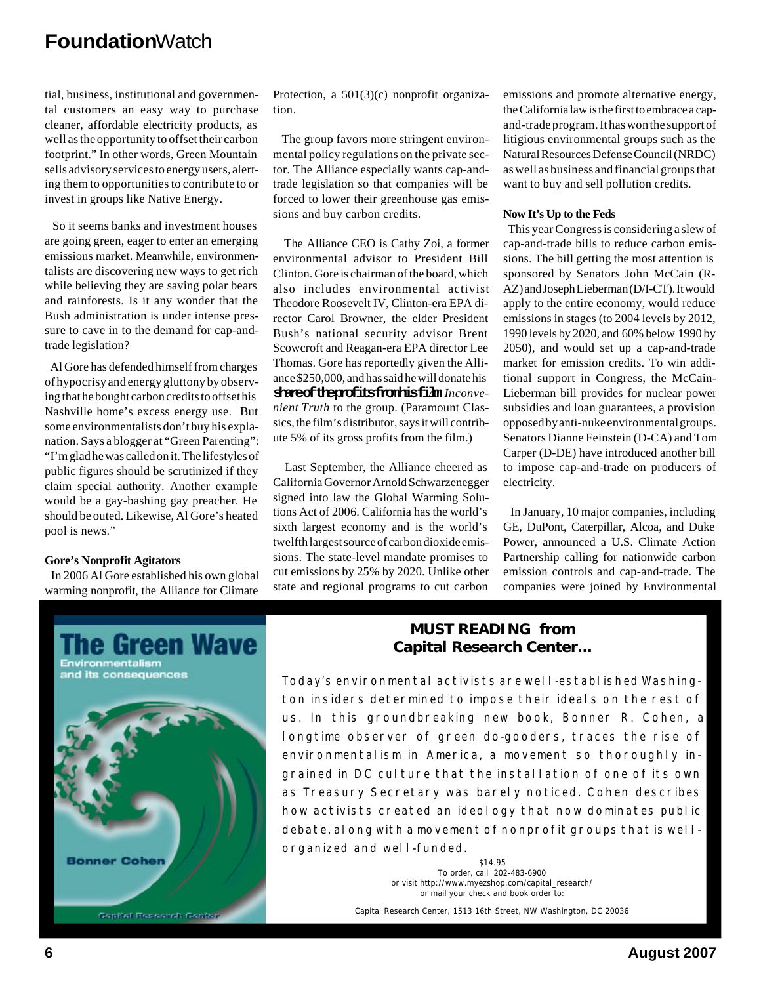tial, business, institutional and governmental customers an easy way to purchase cleaner, affordable electricity products, as well as the opportunity to offset their carbon footprint." In other words, Green Mountain sells advisory services to energy users, alerting them to opportunities to contribute to or invest in groups like Native Energy.

 So it seems banks and investment houses are going green, eager to enter an emerging emissions market. Meanwhile, environmentalists are discovering new ways to get rich while believing they are saving polar bears and rainforests. Is it any wonder that the Bush administration is under intense pressure to cave in to the demand for cap-andtrade legislation?

 Al Gore has defended himself from charges of hypocrisy and energy gluttony by observing that he bought carbon credits to offset his Nashville home's excess energy use. But some environmentalists don't buy his explanation. Says a blogger at "Green Parenting": "I'm glad he was called on it. The lifestyles of public figures should be scrutinized if they claim special authority. Another example would be a gay-bashing gay preacher. He should be outed. Likewise, Al Gore's heated pool is news."

#### **Gore's Nonprofit Agitators**

 In 2006 Al Gore established his own global warming nonprofit, the Alliance for Climate

Protection, a 501(3)(c) nonprofit organization.

 The group favors more stringent environmental policy regulations on the private sector. The Alliance especially wants cap-andtrade legislation so that companies will be forced to lower their greenhouse gas emissions and buy carbon credits.

 The Alliance CEO is Cathy Zoi, a former environmental advisor to President Bill Clinton. Gore is chairman of the board, which also includes environmental activist Theodore Roosevelt IV, Clinton-era EPA director Carol Browner, the elder President Bush's national security advisor Brent Scowcroft and Reagan-era EPA director Lee Thomas. Gore has reportedly given the Alliance \$250,000, and has said he will donate his shared the profits from his film *Inconvenient Truth* to the group. (Paramount Classics, the film's distributor, says it will contribute 5% of its gross profits from the film.)

 Last September, the Alliance cheered as California Governor Arnold Schwarzenegger signed into law the Global Warming Solutions Act of 2006. California has the world's sixth largest economy and is the world's twelfth largest source of carbon dioxide emissions. The state-level mandate promises to cut emissions by 25% by 2020. Unlike other state and regional programs to cut carbon

emissions and promote alternative energy, the California law is the first to embrace a capand-trade program. It has won the support of litigious environmental groups such as the Natural Resources Defense Council (NRDC) as well as business and financial groups that want to buy and sell pollution credits.

#### **Now It's Up to the Feds**

 This year Congress is considering a slew of cap-and-trade bills to reduce carbon emissions. The bill getting the most attention is sponsored by Senators John McCain (R-AZ) and Joseph Lieberman (D/I-CT). It would apply to the entire economy, would reduce emissions in stages (to 2004 levels by 2012, 1990 levels by 2020, and 60% below 1990 by 2050), and would set up a cap-and-trade market for emission credits. To win additional support in Congress, the McCain-Lieberman bill provides for nuclear power subsidies and loan guarantees, a provision opposed by anti-nuke environmental groups. Senators Dianne Feinstein (D-CA) and Tom Carper (D-DE) have introduced another bill to impose cap-and-trade on producers of electricity.

 In January, 10 major companies, including GE, DuPont, Caterpillar, Alcoa, and Duke Power, announced a U.S. Climate Action Partnership calling for nationwide carbon emission controls and cap-and-trade. The companies were joined by Environmental



#### *MUST READING* **from Capital Research Center...**

Today's environmental activists are well-established Washington insiders determined to impose their ideals on the rest of us. In this groundbreaking new book, Bonner R. Cohen, a longtime observer of green do-gooders, traces the rise of environmentalism in America, a movement so thoroughly ingrained in DC culture that the install ation of one of its own as Treasury Secretary was barely noticed. Cohen describes how activists created an ideology that now dominates public debate, along with a movement of nonprofit groups that is wellorganized and well-funded.

> *\$14.95 To order, call* 202-483-6900 or visit http://www.myezshop.com/capital\_research/ *or mail your check and book order to:*

Capital Research Center, 1513 16th Street, NW Washington, DC 20036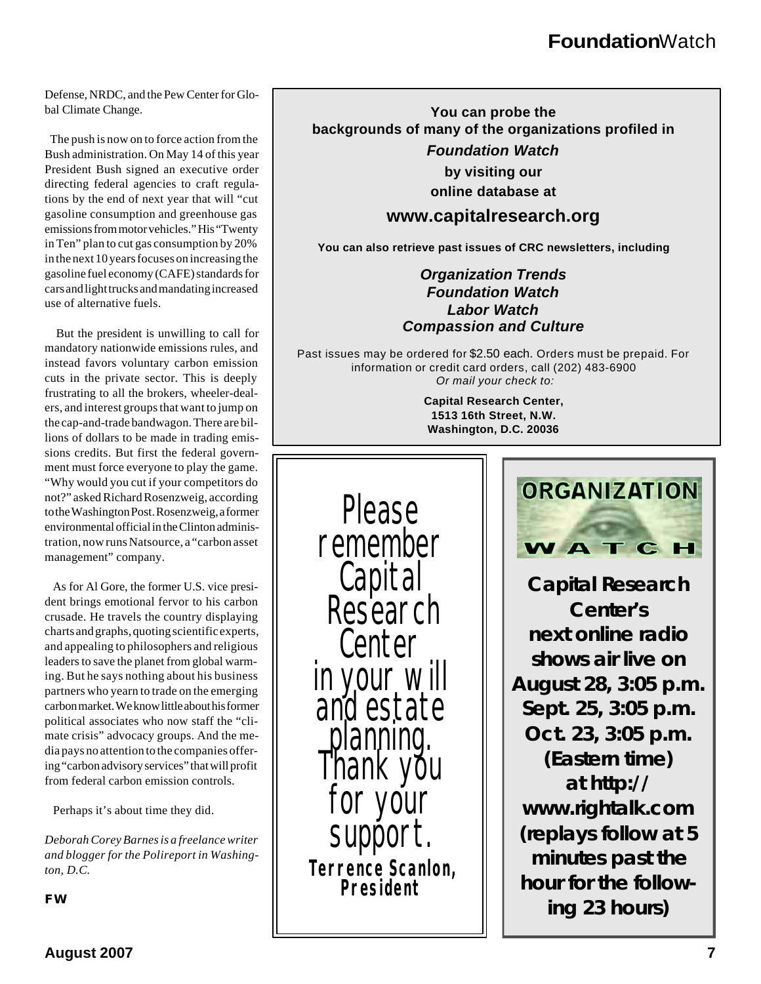Defense, NRDC, and the Pew Center for Global Climate Change.

 The push is now on to force action from the Bush administration. On May 14 of this year President Bush signed an executive order directing federal agencies to craft regulations by the end of next year that will "cut gasoline consumption and greenhouse gas emissions from motor vehicles." His "Twenty in Ten" plan to cut gas consumption by 20% in the next 10 years focuses on increasing the gasoline fuel economy (CAFE) standards for cars and light trucks and mandating increased use of alternative fuels.

 But the president is unwilling to call for mandatory nationwide emissions rules, and instead favors voluntary carbon emission cuts in the private sector. This is deeply frustrating to all the brokers, wheeler-dealers, and interest groups that want to jump on the cap-and-trade bandwagon. There are billions of dollars to be made in trading emissions credits. But first the federal government must force everyone to play the game. "Why would you cut if your competitors do not?" asked Richard Rosenzweig, according to the Washington Post. Rosenzweig, a former environmental official in the Clinton administration, now runs Natsource, a "carbon asset management" company.

 As for Al Gore, the former U.S. vice president brings emotional fervor to his carbon crusade. He travels the country displaying charts and graphs, quoting scientific experts, and appealing to philosophers and religious leaders to save the planet from global warming. But he says nothing about his business partners who yearn to trade on the emerging carbon market. We know little about his former political associates who now staff the "climate crisis" advocacy groups. And the media pays no attention to the companies offering "carbon advisory services" that will profit from federal carbon emission controls.

Perhaps it's about time they did.

*Deborah Corey Barnes is a freelance writer and blogger for the Polireport in Washington, D.C.*

**You can probe the backgrounds of many of the organizations profiled in** *Foundation Watch* **by visiting our**

**online database at**

#### **www.capitalresearch.org**

**You can also retrieve past issues of CRC newsletters, including**

#### *Organization Trends Foundation Watch Labor Watch Compassion and Culture*

Past issues may be ordered for \$2.50 each. Orders must be prepaid. For information or credit card orders, call (202) 483-6900 *Or mail your check to:*

> **Capital Research Center, 1513 16th Street, N.W. Washington, D.C. 20036**

Please remember Capital **Research** Center in your will and estate ng estat<br>planning. Thank you vour suppor *Terrence Scanlon, President FW*



**Capital Research Center's next online radio shows air live on August 28, 3:05 p.m. Sept. 25, 3:05 p.m. Oct. 23, 3:05 p.m. (Eastern time) at** *http:// www.rightalk.com* **(replays follow at 5 minutes past the hour for the following 23 hours)**